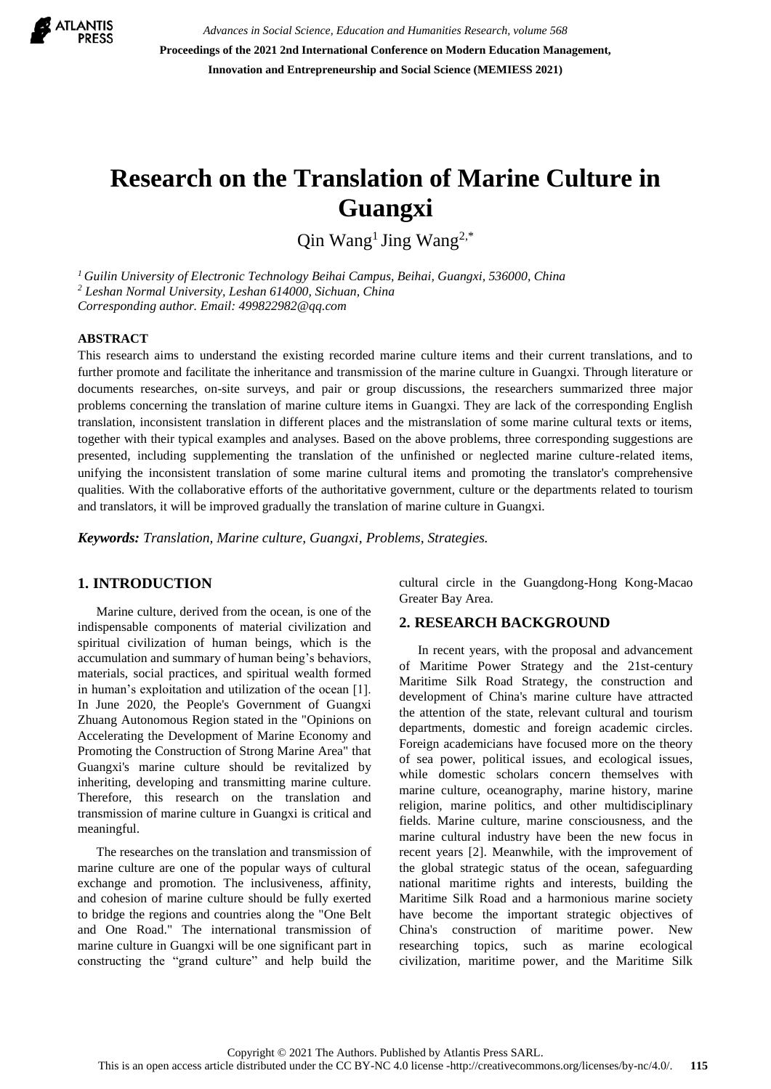

*Advances in Social Science, Education and Humanities Research, volume 568* **Proceedings of the 2021 2nd International Conference on Modern Education Management, Innovation and Entrepreneurship and Social Science (MEMIESS 2021)**

# **Research on the Translation of Marine Culture in Guangxi**

Qin Wang<sup>1</sup> Jing Wang<sup>2,\*</sup>

*<sup>1</sup> Guilin University of Electronic Technology Beihai Campus, Beihai, Guangxi, 536000, China <sup>2</sup> Leshan Normal University, Leshan 614000, Sichuan, China Corresponding author. Email: 499822982@qq.com*

#### **ABSTRACT**

This research aims to understand the existing recorded marine culture items and their current translations, and to further promote and facilitate the inheritance and transmission of the marine culture in Guangxi. Through literature or documents researches, on-site surveys, and pair or group discussions, the researchers summarized three major problems concerning the translation of marine culture items in Guangxi. They are lack of the corresponding English translation, inconsistent translation in different places and the mistranslation of some marine cultural texts or items, together with their typical examples and analyses. Based on the above problems, three corresponding suggestions are presented, including supplementing the translation of the unfinished or neglected marine culture-related items, unifying the inconsistent translation of some marine cultural items and promoting the translator's comprehensive qualities. With the collaborative efforts of the authoritative government, culture or the departments related to tourism and translators, it will be improved gradually the translation of marine culture in Guangxi.

*Keywords: Translation, Marine culture, Guangxi, Problems, Strategies.*

### **1. INTRODUCTION**

Marine culture, derived from the ocean, is one of the indispensable components of material civilization and spiritual civilization of human beings, which is the accumulation and summary of human being's behaviors, materials, social practices, and spiritual wealth formed in human's exploitation and utilization of the ocean [1]. In June 2020, the People's Government of Guangxi Zhuang Autonomous Region stated in the "Opinions on Accelerating the Development of Marine Economy and Promoting the Construction of Strong Marine Area" that Guangxi's marine culture should be revitalized by inheriting, developing and transmitting marine culture. Therefore, this research on the translation and transmission of marine culture in Guangxi is critical and meaningful.

The researches on the translation and transmission of marine culture are one of the popular ways of cultural exchange and promotion. The inclusiveness, affinity, and cohesion of marine culture should be fully exerted to bridge the regions and countries along the "One Belt and One Road." The international transmission of marine culture in Guangxi will be one significant part in constructing the "grand culture" and help build the cultural circle in the Guangdong-Hong Kong-Macao Greater Bay Area.

### **2. RESEARCH BACKGROUND**

In recent years, with the proposal and advancement of Maritime Power Strategy and the 21st-century Maritime Silk Road Strategy, the construction and development of China's marine culture have attracted the attention of the state, relevant cultural and tourism departments, domestic and foreign academic circles. Foreign academicians have focused more on the theory of sea power, political issues, and ecological issues, while domestic scholars concern themselves with marine culture, oceanography, marine history, marine religion, marine politics, and other multidisciplinary fields. Marine culture, marine consciousness, and the marine cultural industry have been the new focus in recent years [2]. Meanwhile, with the improvement of the global strategic status of the ocean, safeguarding national maritime rights and interests, building the Maritime Silk Road and a harmonious marine society have become the important strategic objectives of China's construction of maritime power. New researching topics, such as marine ecological civilization, maritime power, and the Maritime Silk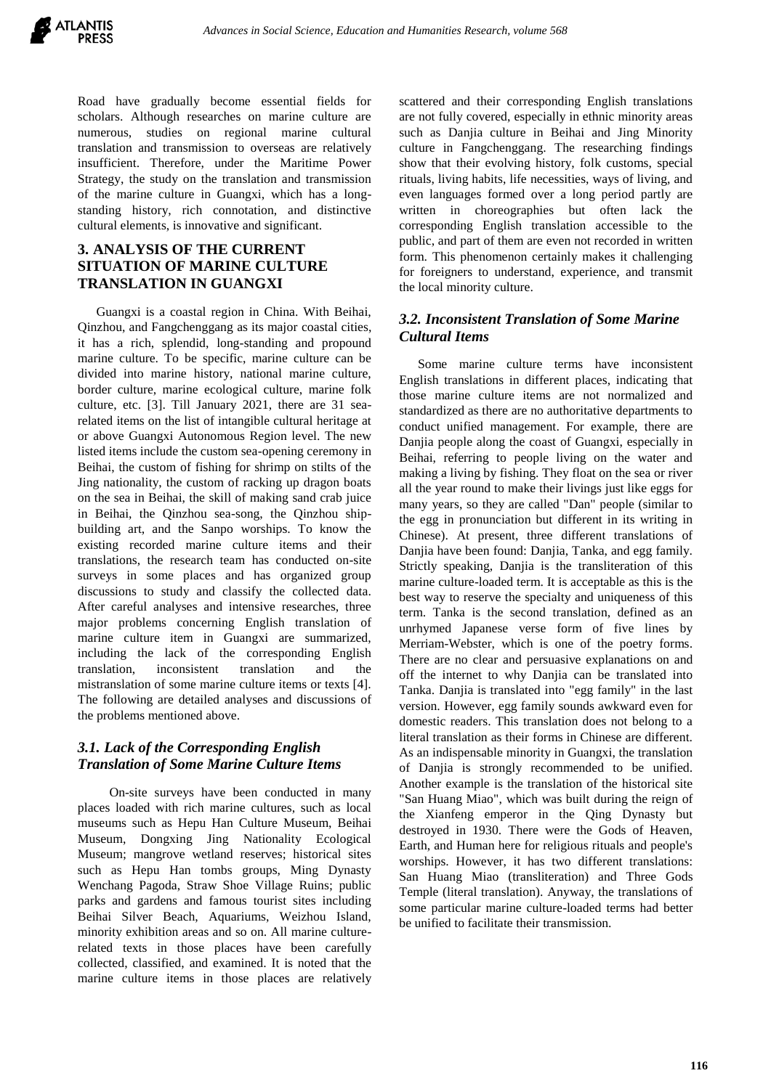

Road have gradually become essential fields for scholars. Although researches on marine culture are numerous, studies on regional marine cultural translation and transmission to overseas are relatively insufficient. Therefore, under the Maritime Power Strategy, the study on the translation and transmission of the marine culture in Guangxi, which has a longstanding history, rich connotation, and distinctive cultural elements, is innovative and significant.

# **3. ANALYSIS OF THE CURRENT SITUATION OF MARINE CULTURE TRANSLATION IN GUANGXI**

Guangxi is a coastal region in China. With Beihai, Qinzhou, and Fangchenggang as its major coastal cities, it has a rich, splendid, long-standing and propound marine culture. To be specific, marine culture can be divided into marine history, national marine culture, border culture, marine ecological culture, marine folk culture, etc. [3]. Till January 2021, there are 31 searelated items on the list of intangible cultural heritage at or above Guangxi Autonomous Region level. The new listed items include the custom sea-opening ceremony in Beihai, the custom of fishing for shrimp on stilts of the Jing nationality, the custom of racking up dragon boats on the sea in Beihai, the skill of making sand crab juice in Beihai, the Qinzhou sea-song, the Qinzhou shipbuilding art, and the Sanpo worships. To know the existing recorded marine culture items and their translations, the research team has conducted on-site surveys in some places and has organized group discussions to study and classify the collected data. After careful analyses and intensive researches, three major problems concerning English translation of marine culture item in Guangxi are summarized, including the lack of the corresponding English translation, inconsistent translation and the mistranslation of some marine culture items or texts [4]. The following are detailed analyses and discussions of the problems mentioned above.

## *3.1. Lack of the Corresponding English Translation of Some Marine Culture Items*

 On-site surveys have been conducted in many places loaded with rich marine cultures, such as local museums such as Hepu Han Culture Museum, Beihai Museum, Dongxing Jing Nationality Ecological Museum; mangrove wetland reserves; historical sites such as Hepu Han tombs groups, Ming Dynasty Wenchang Pagoda, Straw Shoe Village Ruins; public parks and gardens and famous tourist sites including Beihai Silver Beach, Aquariums, Weizhou Island, minority exhibition areas and so on. All marine culturerelated texts in those places have been carefully collected, classified, and examined. It is noted that the marine culture items in those places are relatively scattered and their corresponding English translations are not fully covered, especially in ethnic minority areas such as Danjia culture in Beihai and Jing Minority culture in Fangchenggang. The researching findings show that their evolving history, folk customs, special rituals, living habits, life necessities, ways of living, and even languages formed over a long period partly are written in choreographies but often lack the corresponding English translation accessible to the public, and part of them are even not recorded in written form. This phenomenon certainly makes it challenging for foreigners to understand, experience, and transmit the local minority culture.

# *3.2. Inconsistent Translation of Some Marine Cultural Items*

Some marine culture terms have inconsistent English translations in different places, indicating that those marine culture items are not normalized and standardized as there are no authoritative departments to conduct unified management. For example, there are Danjia people along the coast of Guangxi, especially in Beihai, referring to people living on the water and making a living by fishing. They float on the sea or river all the year round to make their livings just like eggs for many years, so they are called "Dan" people (similar to the egg in pronunciation but different in its writing in Chinese). At present, three different translations of Danjia have been found: Danjia, Tanka, and egg family. Strictly speaking, Daniia is the transliteration of this marine culture-loaded term. It is acceptable as this is the best way to reserve the specialty and uniqueness of this term. Tanka is the second translation, defined as an unrhymed Japanese verse form of five lines by Merriam-Webster, which is one of the poetry forms. There are no clear and persuasive explanations on and off the internet to why Danjia can be translated into Tanka. Danjia is translated into "egg family" in the last version. However, egg family sounds awkward even for domestic readers. This translation does not belong to a literal translation as their forms in Chinese are different. As an indispensable minority in Guangxi, the translation of Danjia is strongly recommended to be unified. Another example is the translation of the historical site "San Huang Miao", which was built during the reign of the Xianfeng emperor in the Qing Dynasty but destroyed in 1930. There were the Gods of Heaven, Earth, and Human here for religious rituals and people's worships. However, it has two different translations: San Huang Miao (transliteration) and Three Gods Temple (literal translation). Anyway, the translations of some particular marine culture-loaded terms had better be unified to facilitate their transmission.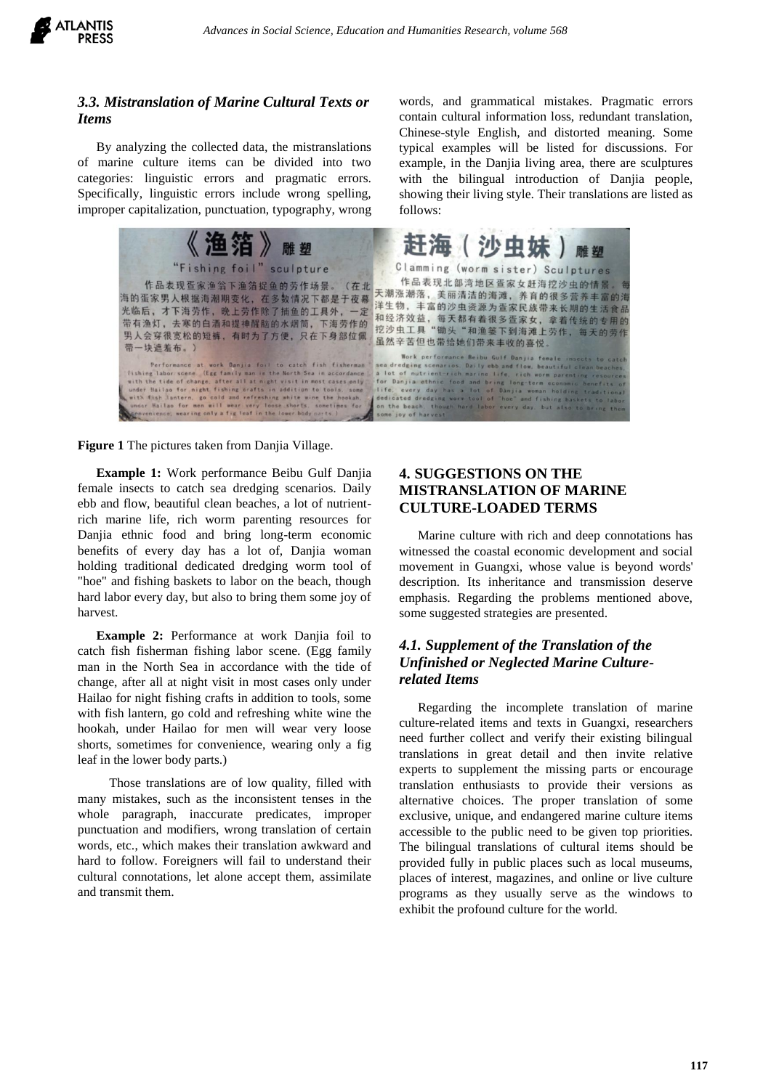

follows:

# *3.3. Mistranslation of Marine Cultural Texts or Items*

By analyzing the collected data, the mistranslations of marine culture items can be divided into two categories: linguistic errors and pragmatic errors. Specifically, linguistic errors include wrong spelling, improper capitalization, punctuation, typography, wrong

| 《渔箔》<br>雕塑                                                                                                                                                                                                                                                                                                                                                                                                                                                                          | 赶海(沙虫妹)雕塑                                                                                                                                                                                                                                                                                                                                                                                                                                                                                                     |
|-------------------------------------------------------------------------------------------------------------------------------------------------------------------------------------------------------------------------------------------------------------------------------------------------------------------------------------------------------------------------------------------------------------------------------------------------------------------------------------|---------------------------------------------------------------------------------------------------------------------------------------------------------------------------------------------------------------------------------------------------------------------------------------------------------------------------------------------------------------------------------------------------------------------------------------------------------------------------------------------------------------|
| "Fishing foil" sculpture                                                                                                                                                                                                                                                                                                                                                                                                                                                            | Clamming (worm sister) Sculptures                                                                                                                                                                                                                                                                                                                                                                                                                                                                             |
| 作品表现疍家渔翁下渔箔捉鱼的劳作场景。(在北<br>海的蛋家男人根据海潮期变化, 在多数情况下都是于夜幕<br>光临后,才下海劳作,晚上劳作除了捕鱼的工具外,一定<br>带有渔灯,去寒的白酒和提神醒脑的水烟筒,下海劳作的<br>男人会穿很宽松的短裤,有时为了方便,只在下身部位佩<br>带一块遮羞布。                                                                                                                                                                                                                                                                                                                              | 作品表现北部湾地区疍家女赶海挖沙虫的情景。每<br>天潮涨潮落, 美丽清洁的海滩, 养育的很多营养丰富的海<br>洋生物,丰富的沙虫资源为疍家民族带来长期的生活食品<br>和经济效益,每天都有着很多疍家女,拿着传统的专用的<br>挖沙虫工具"锄头"和渔篓下到海滩上劳作,每天的劳作<br>虽然辛苦但也带给她们带来丰收的喜悦。                                                                                                                                                                                                                                                                                                                                            |
| Performance at work Danjia foil to catch fish fisherman<br>fishing labor scene. (Egg family man in the North Sea in accordance<br>with the tide of change, after all at night visit in most cases only<br>under Hailao for night fishing crafts in addition to tools, some<br>with fish lantern, go cold and refreshing white wine the hookah.<br>under Hailao for men will wear very loose shorts, sometimes for<br>convenience, wearing only a fig leaf in the lower body parts.) | Work performance Beibu Gulf Danjia female insects to catch<br>sea dredging scenarios. Daily ebb and flow, beautiful clean beaches.<br>a lot of nutrient-rich marine life, rich worm parenting resources<br>for Danjia ethnic food and bring long-term economic benefits of<br>life, every day has a lot of Danjia woman holding traditional<br>dedicated dredging worm tool of "hoe" and fishing baskets to labor<br>on the beach, though hard labor every day, but also to bring them<br>some joy of harvest |

**Figure 1** The pictures taken from Danjia Village.

**Example 1:** Work performance Beibu Gulf Danjia female insects to catch sea dredging scenarios. Daily ebb and flow, beautiful clean beaches, a lot of nutrientrich marine life, rich worm parenting resources for Danjia ethnic food and bring long-term economic benefits of every day has a lot of, Danjia woman holding traditional dedicated dredging worm tool of "hoe" and fishing baskets to labor on the beach, though hard labor every day, but also to bring them some joy of harvest.

**Example 2:** Performance at work Danjia foil to catch fish fisherman fishing labor scene. (Egg family man in the North Sea in accordance with the tide of change, after all at night visit in most cases only under Hailao for night fishing crafts in addition to tools, some with fish lantern, go cold and refreshing white wine the hookah, under Hailao for men will wear very loose shorts, sometimes for convenience, wearing only a fig leaf in the lower body parts.)

 Those translations are of low quality, filled with many mistakes, such as the inconsistent tenses in the whole paragraph, inaccurate predicates, improper punctuation and modifiers, wrong translation of certain words, etc., which makes their translation awkward and hard to follow. Foreigners will fail to understand their cultural connotations, let alone accept them, assimilate and transmit them.

# **4. SUGGESTIONS ON THE MISTRANSLATION OF MARINE CULTURE-LOADED TERMS**

Marine culture with rich and deep connotations has witnessed the coastal economic development and social movement in Guangxi, whose value is beyond words' description. Its inheritance and transmission deserve emphasis. Regarding the problems mentioned above, some suggested strategies are presented.

words, and grammatical mistakes. Pragmatic errors contain cultural information loss, redundant translation, Chinese-style English, and distorted meaning. Some typical examples will be listed for discussions. For example, in the Danjia living area, there are sculptures with the bilingual introduction of Danjia people, showing their living style. Their translations are listed as

# *4.1. Supplement of the Translation of the Unfinished or Neglected Marine Culturerelated Items*

Regarding the incomplete translation of marine culture-related items and texts in Guangxi, researchers need further collect and verify their existing bilingual translations in great detail and then invite relative experts to supplement the missing parts or encourage translation enthusiasts to provide their versions as alternative choices. The proper translation of some exclusive, unique, and endangered marine culture items accessible to the public need to be given top priorities. The bilingual translations of cultural items should be provided fully in public places such as local museums, places of interest, magazines, and online or live culture programs as they usually serve as the windows to exhibit the profound culture for the world.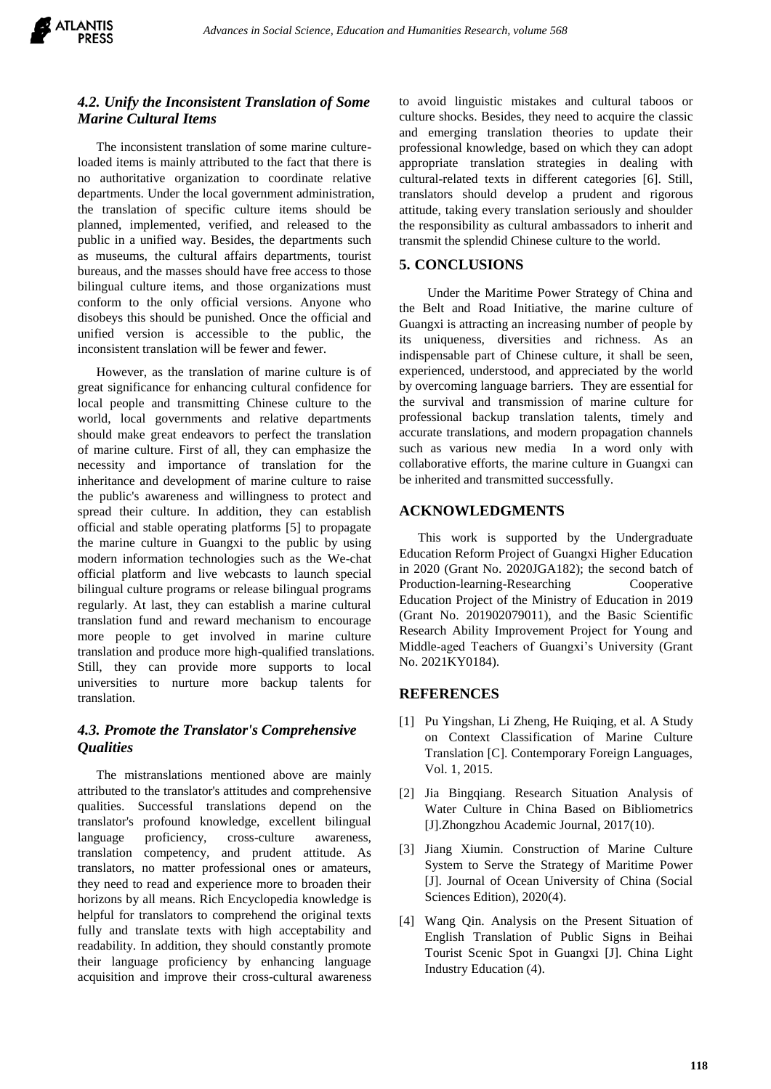

# *4.2. Unify the Inconsistent Translation of Some Marine Cultural Items*

The inconsistent translation of some marine cultureloaded items is mainly attributed to the fact that there is no authoritative organization to coordinate relative departments. Under the local government administration, the translation of specific culture items should be planned, implemented, verified, and released to the public in a unified way. Besides, the departments such as museums, the cultural affairs departments, tourist bureaus, and the masses should have free access to those bilingual culture items, and those organizations must conform to the only official versions. Anyone who disobeys this should be punished. Once the official and unified version is accessible to the public, the inconsistent translation will be fewer and fewer.

However, as the translation of marine culture is of great significance for enhancing cultural confidence for local people and transmitting Chinese culture to the world, local governments and relative departments should make great endeavors to perfect the translation of marine culture. First of all, they can emphasize the necessity and importance of translation for the inheritance and development of marine culture to raise the public's awareness and willingness to protect and spread their culture. In addition, they can establish official and stable operating platforms [5] to propagate the marine culture in Guangxi to the public by using modern information technologies such as the We-chat official platform and live webcasts to launch special bilingual culture programs or release bilingual programs regularly. At last, they can establish a marine cultural translation fund and reward mechanism to encourage more people to get involved in marine culture translation and produce more high-qualified translations. Still, they can provide more supports to local universities to nurture more backup talents for translation.

# *4.3. Promote the Translator's Comprehensive Qualities*

The mistranslations mentioned above are mainly attributed to the translator's attitudes and comprehensive qualities. Successful translations depend on the translator's profound knowledge, excellent bilingual language proficiency, cross-culture awareness, translation competency, and prudent attitude. As translators, no matter professional ones or amateurs, they need to read and experience more to broaden their horizons by all means. Rich Encyclopedia knowledge is helpful for translators to comprehend the original texts fully and translate texts with high acceptability and readability. In addition, they should constantly promote their language proficiency by enhancing language acquisition and improve their cross-cultural awareness to avoid linguistic mistakes and cultural taboos or culture shocks. Besides, they need to acquire the classic and emerging translation theories to update their professional knowledge, based on which they can adopt appropriate translation strategies in dealing with cultural-related texts in different categories [6]. Still, translators should develop a prudent and rigorous attitude, taking every translation seriously and shoulder the responsibility as cultural ambassadors to inherit and transmit the splendid Chinese culture to the world.

## **5. CONCLUSIONS**

 Under the Maritime Power Strategy of China and the Belt and Road Initiative, the marine culture of Guangxi is attracting an increasing number of people by its uniqueness, diversities and richness. As an indispensable part of Chinese culture, it shall be seen, experienced, understood, and appreciated by the world by overcoming language barriers. They are essential for the survival and transmission of marine culture for professional backup translation talents, timely and accurate translations, and modern propagation channels such as various new media In a word only with collaborative efforts, the marine culture in Guangxi can be inherited and transmitted successfully.

## **ACKNOWLEDGMENTS**

This work is supported by the Undergraduate Education Reform Project of Guangxi Higher Education in 2020 (Grant No. 2020JGA182); the second batch of Production-learning-Researching Cooperative Education Project of the Ministry of Education in 2019 (Grant No. 201902079011), and the Basic Scientific Research Ability Improvement Project for Young and Middle-aged Teachers of Guangxi's University (Grant No. 2021KY0184).

## **REFERENCES**

- [1] Pu Yingshan, Li Zheng, He Ruiqing, et al. A Study on Context Classification of Marine Culture Translation [C]. Contemporary Foreign Languages, Vol. 1, 2015.
- [2] Jia Bingqiang. Research Situation Analysis of Water Culture in China Based on Bibliometrics [J].Zhongzhou Academic Journal, 2017(10).
- [3] Jiang Xiumin. Construction of Marine Culture System to Serve the Strategy of Maritime Power [J]. Journal of Ocean University of China (Social Sciences Edition), 2020(4).
- [4] Wang Qin. Analysis on the Present Situation of English Translation of Public Signs in Beihai Tourist Scenic Spot in Guangxi [J]. China Light Industry Education (4).